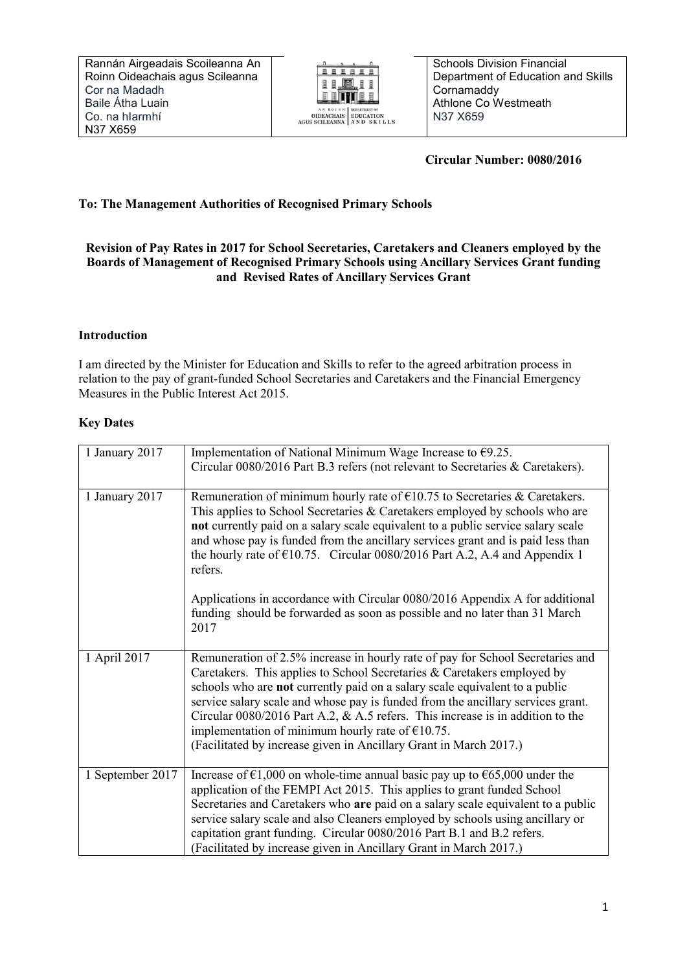

 **Circular Number: 0080/2016**

# **To: The Management Authorities of Recognised Primary Schools**

## **Revision of Pay Rates in 2017 for School Secretaries, Caretakers and Cleaners employed by the Boards of Management of Recognised Primary Schools using Ancillary Services Grant funding and Revised Rates of Ancillary Services Grant**

## **Introduction**

I am directed by the Minister for Education and Skills to refer to the agreed arbitration process in relation to the pay of grant-funded School Secretaries and Caretakers and the Financial Emergency Measures in the Public Interest Act 2015.

## **Key Dates**

| 1 January 2017   | Implementation of National Minimum Wage Increase to $\epsilon$ 9.25.<br>Circular 0080/2016 Part B.3 refers (not relevant to Secretaries & Caretakers).                                                                                                                                                                                                                                                                                                                                                                                      |
|------------------|---------------------------------------------------------------------------------------------------------------------------------------------------------------------------------------------------------------------------------------------------------------------------------------------------------------------------------------------------------------------------------------------------------------------------------------------------------------------------------------------------------------------------------------------|
| 1 January 2017   | Remuneration of minimum hourly rate of $\epsilon$ 10.75 to Secretaries & Caretakers.<br>This applies to School Secretaries & Caretakers employed by schools who are<br>not currently paid on a salary scale equivalent to a public service salary scale<br>and whose pay is funded from the ancillary services grant and is paid less than<br>the hourly rate of $\epsilon$ 10.75. Circular 0080/2016 Part A.2, A.4 and Appendix 1<br>refers.                                                                                               |
|                  | Applications in accordance with Circular 0080/2016 Appendix A for additional<br>funding should be forwarded as soon as possible and no later than 31 March<br>2017                                                                                                                                                                                                                                                                                                                                                                          |
| 1 April 2017     | Remuneration of 2.5% increase in hourly rate of pay for School Secretaries and<br>Caretakers. This applies to School Secretaries & Caretakers employed by<br>schools who are not currently paid on a salary scale equivalent to a public<br>service salary scale and whose pay is funded from the ancillary services grant.<br>Circular $0080/2016$ Part A.2, & A.5 refers. This increase is in addition to the<br>implementation of minimum hourly rate of $£10.75$ .<br>(Facilitated by increase given in Ancillary Grant in March 2017.) |
| 1 September 2017 | Increase of $\epsilon$ 1,000 on whole-time annual basic pay up to $\epsilon$ 65,000 under the<br>application of the FEMPI Act 2015. This applies to grant funded School<br>Secretaries and Caretakers who are paid on a salary scale equivalent to a public<br>service salary scale and also Cleaners employed by schools using ancillary or<br>capitation grant funding. Circular 0080/2016 Part B.1 and B.2 refers.<br>(Facilitated by increase given in Ancillary Grant in March 2017.)                                                  |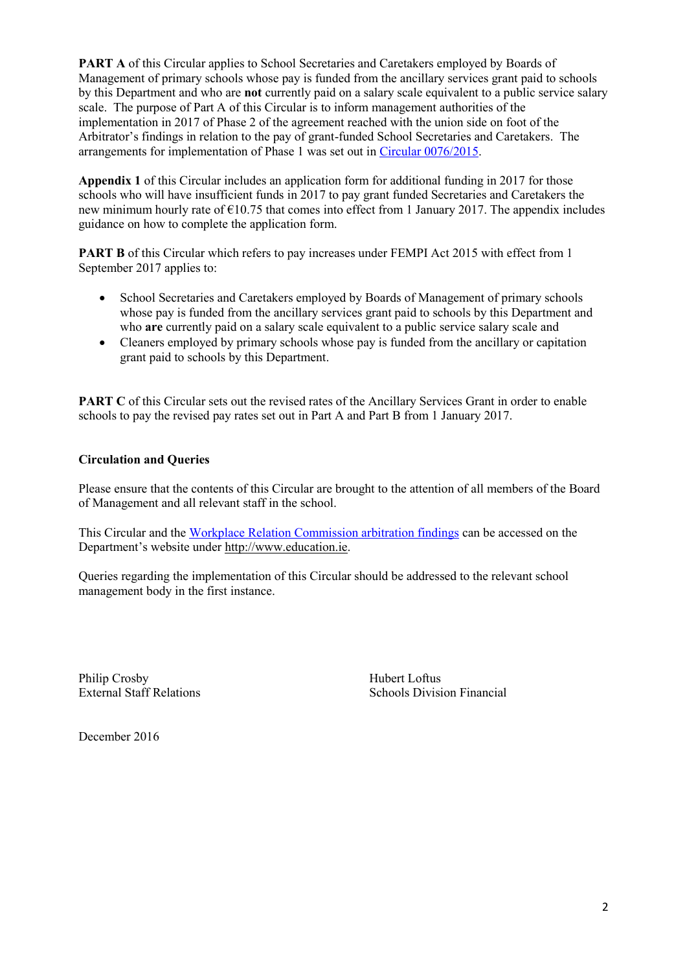**PART A** of this Circular applies to School Secretaries and Caretakers employed by Boards of Management of primary schools whose pay is funded from the ancillary services grant paid to schools by this Department and who are **not** currently paid on a salary scale equivalent to a public service salary scale. The purpose of Part A of this Circular is to inform management authorities of the implementation in 2017 of Phase 2 of the agreement reached with the union side on foot of the Arbitrator's findings in relation to the pay of grant-funded School Secretaries and Caretakers. The arrangements for implementation of Phase 1 was set out in [Circular 0076/2015.](http://www.education.ie/en/Circulars-and-Forms/Active-Circulars/cl0076_2015.pdf)

**Appendix 1** of this Circular includes an application form for additional funding in 2017 for those schools who will have insufficient funds in 2017 to pay grant funded Secretaries and Caretakers the new minimum hourly rate of  $\epsilon$ 10.75 that comes into effect from 1 January 2017. The appendix includes guidance on how to complete the application form.

**PART B** of this Circular which refers to pay increases under FEMPI Act 2015 with effect from 1 September 2017 applies to:

- School Secretaries and Caretakers employed by Boards of Management of primary schools whose pay is funded from the ancillary services grant paid to schools by this Department and who **are** currently paid on a salary scale equivalent to a public service salary scale and
- Cleaners employed by primary schools whose pay is funded from the ancillary or capitation grant paid to schools by this Department.

**PART C** of this Circular sets out the revised rates of the Ancillary Services Grant in order to enable schools to pay the revised pay rates set out in Part A and Part B from 1 January 2017.

## **Circulation and Queries**

Please ensure that the contents of this Circular are brought to the attention of all members of the Board of Management and all relevant staff in the school.

This Circular and the [Workplace Relation Commission arbitration findings](http://www.education.ie/en/Schools-Colleges/Services/Grants-and-Additional-Support/Ancillary-Service-Grant/Work-Place-Relations-Decision-Department-of-Education-and-Skills-Impact.pdf) can be accessed on the Department's website under [http://www.education.ie.](http://www.education.ie/)

Queries regarding the implementation of this Circular should be addressed to the relevant school management body in the first instance.

Philip Crosby Hubert Loftus

External Staff Relations Schools Division Financial

December 2016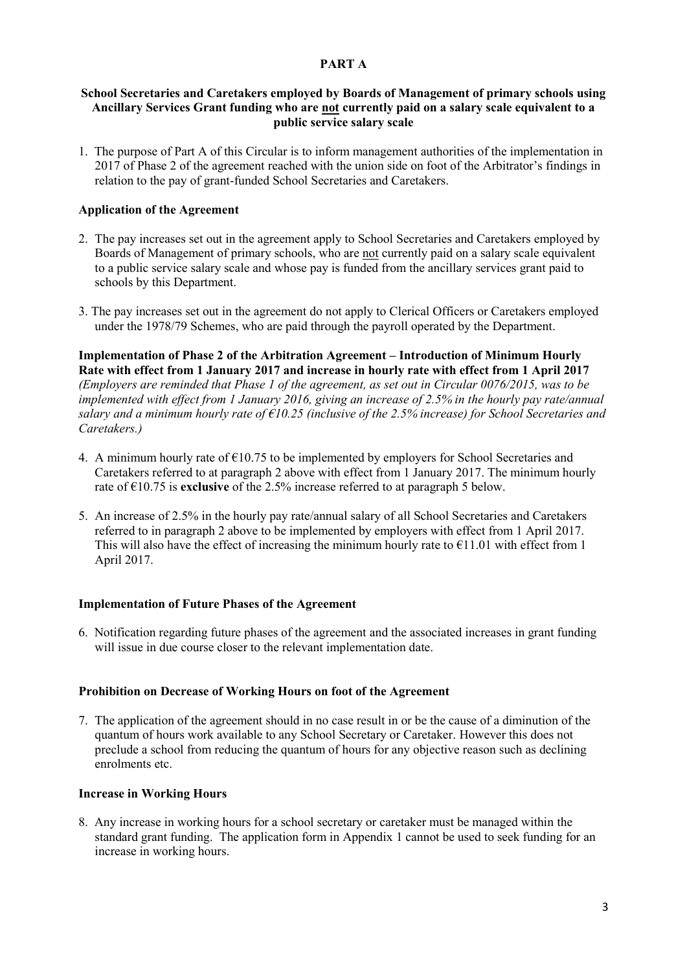### **PART A**

#### **School Secretaries and Caretakers employed by Boards of Management of primary schools using Ancillary Services Grant funding who are not currently paid on a salary scale equivalent to a public service salary scale**

1. The purpose of Part A of this Circular is to inform management authorities of the implementation in 2017 of Phase 2 of the agreement reached with the union side on foot of the Arbitrator's findings in relation to the pay of grant-funded School Secretaries and Caretakers.

### **Application of the Agreement**

- 2. The pay increases set out in the agreement apply to School Secretaries and Caretakers employed by Boards of Management of primary schools, who are not currently paid on a salary scale equivalent to a public service salary scale and whose pay is funded from the ancillary services grant paid to schools by this Department.
- 3. The pay increases set out in the agreement do not apply to Clerical Officers or Caretakers employed under the 1978/79 Schemes, who are paid through the payroll operated by the Department.

### **Implementation of Phase 2 of the Arbitration Agreement – Introduction of Minimum Hourly Rate with effect from 1 January 2017 and increase in hourly rate with effect from 1 April 2017**

*(Employers are reminded that Phase 1 of the agreement, as set out in Circular 0076/2015, was to be implemented with effect from 1 January 2016, giving an increase of 2.5% in the hourly pay rate/annual salary and a minimum hourly rate of €10.25 (inclusive of the 2.5% increase) for School Secretaries and Caretakers.)*

- 4. A minimum hourly rate of  $\epsilon$ 10.75 to be implemented by employers for School Secretaries and Caretakers referred to at paragraph 2 above with effect from 1 January 2017. The minimum hourly rate of €10.75 is **exclusive** of the 2.5% increase referred to at paragraph 5 below.
- 5. An increase of 2.5% in the hourly pay rate/annual salary of all School Secretaries and Caretakers referred to in paragraph 2 above to be implemented by employers with effect from 1 April 2017. This will also have the effect of increasing the minimum hourly rate to  $\epsilon$ 11.01 with effect from 1 April 2017.

#### **Implementation of Future Phases of the Agreement**

6. Notification regarding future phases of the agreement and the associated increases in grant funding will issue in due course closer to the relevant implementation date.

#### **Prohibition on Decrease of Working Hours on foot of the Agreement**

7. The application of the agreement should in no case result in or be the cause of a diminution of the quantum of hours work available to any School Secretary or Caretaker. However this does not preclude a school from reducing the quantum of hours for any objective reason such as declining enrolments etc.

#### **Increase in Working Hours**

8. Any increase in working hours for a school secretary or caretaker must be managed within the standard grant funding. The application form in Appendix 1 cannot be used to seek funding for an increase in working hours.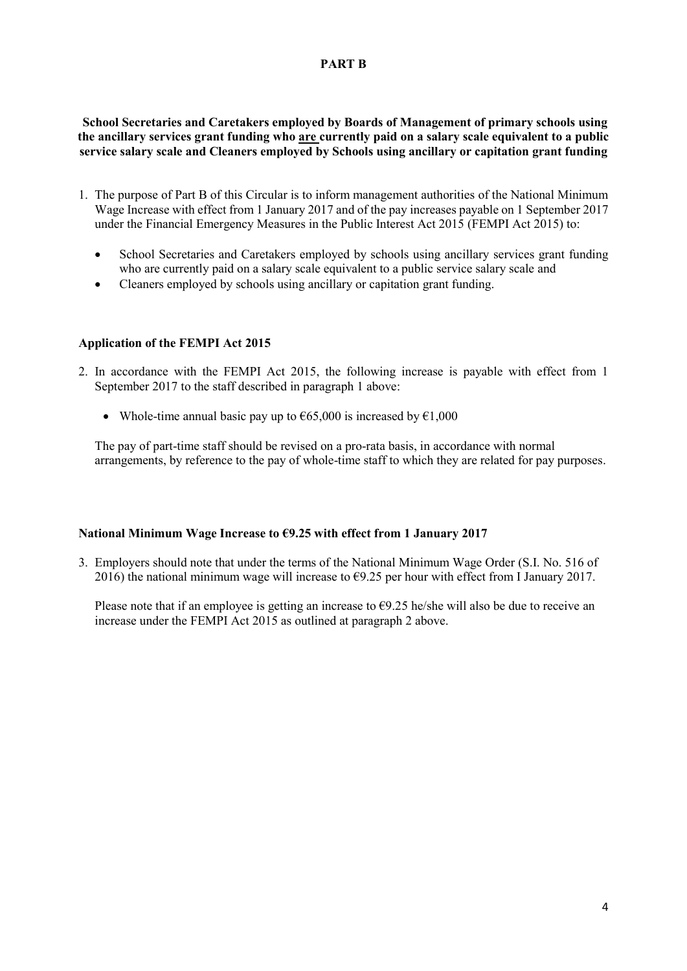## **PART B**

**School Secretaries and Caretakers employed by Boards of Management of primary schools using the ancillary services grant funding who are currently paid on a salary scale equivalent to a public service salary scale and Cleaners employed by Schools using ancillary or capitation grant funding**

- 1. The purpose of Part B of this Circular is to inform management authorities of the National Minimum Wage Increase with effect from 1 January 2017 and of the pay increases payable on 1 September 2017 under the Financial Emergency Measures in the Public Interest Act 2015 (FEMPI Act 2015) to:
	- School Secretaries and Caretakers employed by schools using ancillary services grant funding who are currently paid on a salary scale equivalent to a public service salary scale and
	- Cleaners employed by schools using ancillary or capitation grant funding.

## **Application of the FEMPI Act 2015**

- 2. In accordance with the FEMPI Act 2015, the following increase is payable with effect from 1 September 2017 to the staff described in paragraph 1 above:
	- Whole-time annual basic pay up to  $\epsilon$ 65,000 is increased by  $\epsilon$ 1,000

The pay of part-time staff should be revised on a pro-rata basis, in accordance with normal arrangements, by reference to the pay of whole-time staff to which they are related for pay purposes.

## **National Minimum Wage Increase to €9.25 with effect from 1 January 2017**

3. Employers should note that under the terms of the National Minimum Wage Order (S.I. No. 516 of 2016) the national minimum wage will increase to  $\epsilon$ 9.25 per hour with effect from I January 2017.

Please note that if an employee is getting an increase to  $\epsilon$ 9.25 he/she will also be due to receive an increase under the FEMPI Act 2015 as outlined at paragraph 2 above.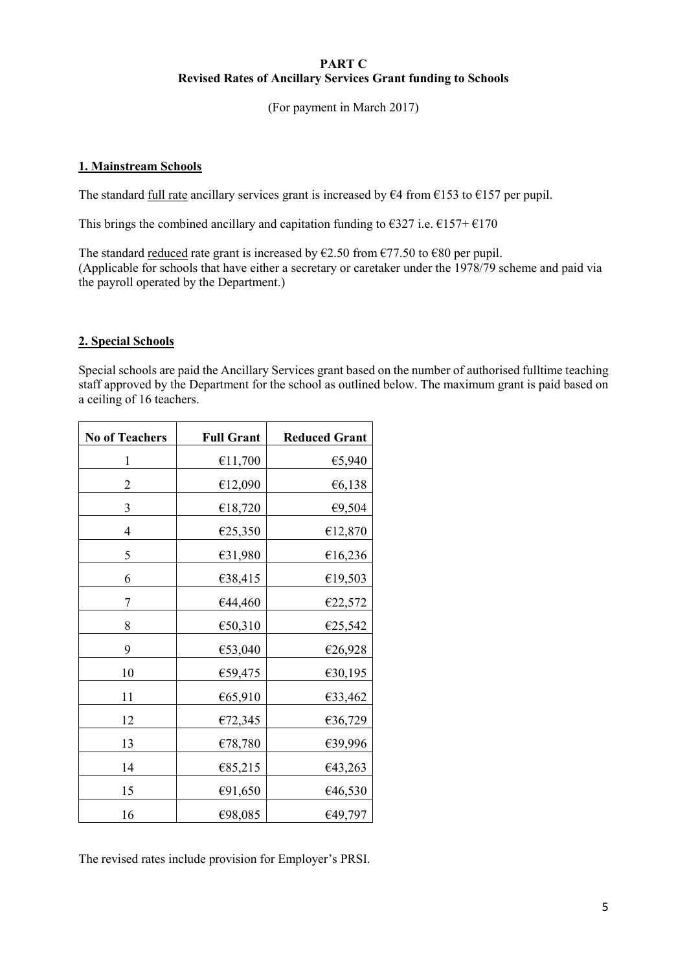### **PART C Revised Rates of Ancillary Services Grant funding to Schools**

(For payment in March 2017)

## **1. Mainstream Schools**

The standard <u>full rate</u> ancillary services grant is increased by  $64$  from  $6153$  to  $6157$  per pupil.

This brings the combined ancillary and capitation funding to  $\epsilon$ 327 i.e.  $\epsilon$ 157+ $\epsilon$ 170

The standard reduced rate grant is increased by  $\epsilon$ 2.50 from  $\epsilon$ 77.50 to  $\epsilon$ 80 per pupil. (Applicable for schools that have either a secretary or caretaker under the 1978/79 scheme and paid via the payroll operated by the Department.)

## **2. Special Schools**

Special schools are paid the Ancillary Services grant based on the number of authorised fulltime teaching staff approved by the Department for the school as outlined below. The maximum grant is paid based on a ceiling of 16 teachers.

| <b>No of Teachers</b> | <b>Full Grant</b> | <b>Reduced Grant</b> |
|-----------------------|-------------------|----------------------|
| $\mathbf{1}$          | €11,700           | €5,940               |
| $\overline{2}$        | €12,090           | €6,138               |
| 3                     | €18,720           | €9,504               |
| $\overline{4}$        | €25,350           | €12,870              |
| 5                     | €31,980           | €16,236              |
| 6                     | €38,415           | €19,503              |
| 7                     | €44,460           | €22,572              |
| 8                     | €50,310           | €25,542              |
| 9                     | €53,040           | €26,928              |
| 10                    | €59,475           | €30,195              |
| 11                    | €65,910           | €33,462              |
| 12                    | €72,345           | €36,729              |
| 13                    | €78,780           | €39,996              |
| 14                    | €85,215           | €43,263              |
| 15                    | €91,650           | €46,530              |
| 16                    | €98,085           | €49,797              |

The revised rates include provision for Employer's PRSI.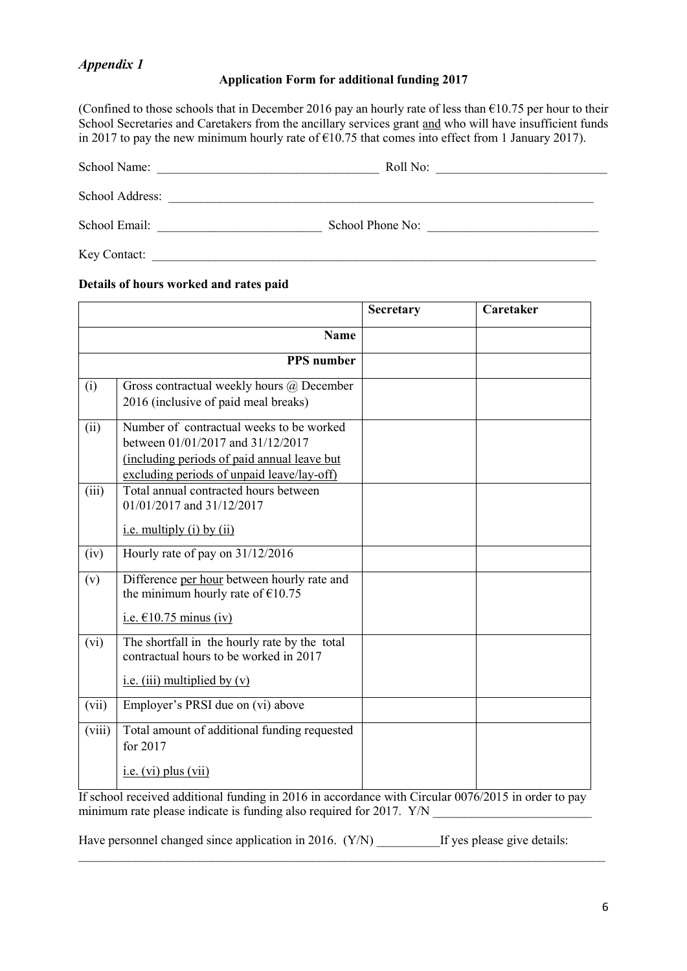# *Appendix 1*

## **Application Form for additional funding 2017**

(Confined to those schools that in December 2016 pay an hourly rate of less than  $\epsilon$ 10.75 per hour to their School Secretaries and Caretakers from the ancillary services grant and who will have insufficient funds in 2017 to pay the new minimum hourly rate of  $\epsilon$ 10.75 that comes into effect from 1 January 2017).

| School Name:    | Roll No:         |
|-----------------|------------------|
| School Address: |                  |
| School Email:   | School Phone No: |

Key Contact:

## **Details of hours worked and rates paid**

|        |                                                                                                                                                                            | Secretary | Caretaker |
|--------|----------------------------------------------------------------------------------------------------------------------------------------------------------------------------|-----------|-----------|
|        | <b>Name</b>                                                                                                                                                                |           |           |
|        | <b>PPS</b> number                                                                                                                                                          |           |           |
| (i)    | Gross contractual weekly hours @ December<br>2016 (inclusive of paid meal breaks)                                                                                          |           |           |
| (ii)   | Number of contractual weeks to be worked<br>between 01/01/2017 and 31/12/2017<br>(including periods of paid annual leave but<br>excluding periods of unpaid leave/lay-off) |           |           |
| (iii)  | Total annual contracted hours between<br>01/01/2017 and 31/12/2017<br>i.e. multiply (i) by $(ii)$                                                                          |           |           |
| (iv)   | Hourly rate of pay on 31/12/2016                                                                                                                                           |           |           |
| (v)    | Difference per hour between hourly rate and<br>the minimum hourly rate of $£10.75$<br>i.e. $£10.75$ minus (iv)                                                             |           |           |
| (vi)   | The shortfall in the hourly rate by the total<br>contractual hours to be worked in 2017<br>i.e. (iii) multiplied by $(v)$                                                  |           |           |
| (vii)  | Employer's PRSI due on (vi) above                                                                                                                                          |           |           |
| (viii) | Total amount of additional funding requested<br>for 2017<br>$i.e.$ (vi) plus (vii)                                                                                         |           |           |
|        |                                                                                                                                                                            |           |           |

If school received additional funding in 2016 in accordance with Circular 0076/2015 in order to pay minimum rate please indicate is funding also required for 2017.  $Y/N$ 

 $\mathcal{L}_\mathcal{L} = \{ \mathcal{L}_\mathcal{L} = \{ \mathcal{L}_\mathcal{L} = \{ \mathcal{L}_\mathcal{L} = \{ \mathcal{L}_\mathcal{L} = \{ \mathcal{L}_\mathcal{L} = \{ \mathcal{L}_\mathcal{L} = \{ \mathcal{L}_\mathcal{L} = \{ \mathcal{L}_\mathcal{L} = \{ \mathcal{L}_\mathcal{L} = \{ \mathcal{L}_\mathcal{L} = \{ \mathcal{L}_\mathcal{L} = \{ \mathcal{L}_\mathcal{L} = \{ \mathcal{L}_\mathcal{L} = \{ \mathcal{L}_\mathcal{$ 

Have personnel changed since application in 2016. (Y/N) If yes please give details: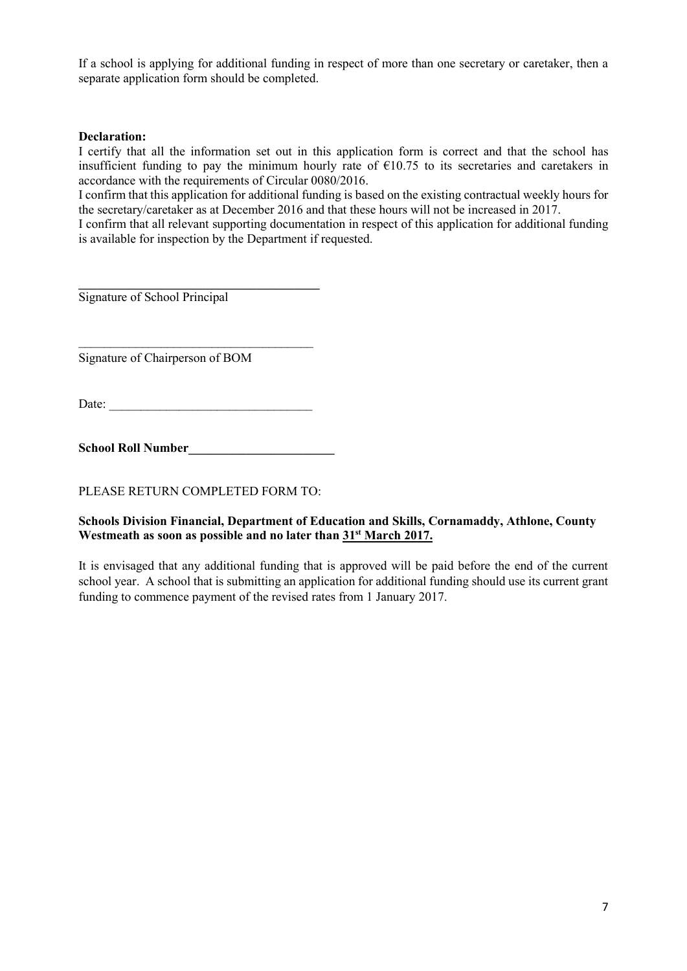If a school is applying for additional funding in respect of more than one secretary or caretaker, then a separate application form should be completed.

### **Declaration:**

I certify that all the information set out in this application form is correct and that the school has insufficient funding to pay the minimum hourly rate of  $\epsilon$ 10.75 to its secretaries and caretakers in accordance with the requirements of Circular 0080/2016.

I confirm that this application for additional funding is based on the existing contractual weekly hours for the secretary/caretaker as at December 2016 and that these hours will not be increased in 2017.

I confirm that all relevant supporting documentation in respect of this application for additional funding is available for inspection by the Department if requested.

Signature of School Principal

Signature of Chairperson of BOM

Date:

**\_\_\_\_\_\_\_\_\_\_\_\_\_\_\_\_\_\_\_\_\_\_\_\_\_\_\_\_\_\_\_\_\_\_\_\_\_\_**

 $\overline{\phantom{a}}$  , where  $\overline{\phantom{a}}$  , where  $\overline{\phantom{a}}$  , where  $\overline{\phantom{a}}$ 

**School Roll Number\_\_\_\_\_\_\_\_\_\_\_\_\_\_\_\_\_\_\_\_\_\_\_**

PLEASE RETURN COMPLETED FORM TO:

### **Schools Division Financial, Department of Education and Skills, Cornamaddy, Athlone, County Westmeath as soon as possible and no later than 31st March 2017.**

It is envisaged that any additional funding that is approved will be paid before the end of the current school year. A school that is submitting an application for additional funding should use its current grant funding to commence payment of the revised rates from 1 January 2017.